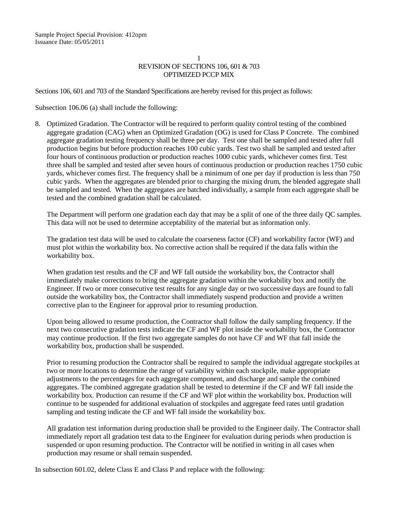## 1 REVISION OF SECTIONS 106, 601 & 703 OPTIMIZED PCCP MIX

Sections 106, 601 and 703 of the Standard Specifications are hereby revised for this project as follows:

Subsection 106.06 (a) shall include the following:

8. Optimized Gradation. The Contractor will be required to perform quality control testing of the combined aggregate gradation (CAG) when an Optimized Gradation (OG) is used for Class P Concrete. The combined aggregate gradation testing frequency shall be three per day. Test one shall be sampled and tested after full production begins but before production reaches 100 cubic yards. Test two shall be sampled and tested after four hours of continuous production or production reaches 1000 cubic yards, whichever comes first. Test three shall be sampled and tested after seven hours of continuous production or production reaches 1750 cubic yards, whichever comes first. The frequency shall be a minimum of one per day if production is less than 750 cubic yards. When the aggregates are blended prior to charging the mixing drum, the blended aggregate shall be sampled and tested. When the aggregates are batched individually, a sample from each aggregate shall be tested and the combined gradation shall be calculated.

The Department will perform one gradation each day that may be a split of one of the three daily QC samples. This data will not be used to determine acceptability of the material but as information only.

The gradation test data will be used to calculate the coarseness factor (CF) and workability factor (WF) and must plot within the workability box. No corrective action shall be required if the data falls within the workability box.

When gradation test results and the CF and WF fall outside the workability box, the Contractor shall immediately make corrections to bring the aggregate gradation within the workability box and notify the Engineer. If two or more consecutive test results for any single day or two successive days are found to fall outside the workability box, the Contractor shall immediately suspend production and provide a written corrective plan to the Engineer for approval prior to resuming production.

Upon being allowed to resume production, the Contractor shall follow the daily sampling frequency. If the next two consecutive gradation tests indicate the CF and WF plot inside the workability box, the Contractor may continue production. If the first two aggregate samples do not have CF and WF that fall inside the workability box, production shall be suspended.

Prior to resuming production the Contractor shall be required to sample the individual aggregate stockpiles at two or more locations to determine the range of variability within each stockpile, make appropriate adjustments to the percentages for each aggregate component, and discharge and sample the combined aggregates. The combined aggregate gradation shall be tested to determine if the CF and WF fall inside the workability box. Production can resume if the CF and WF plot within the workability box. Production will continue to be suspended for additional evaluation of stockpiles and aggregate feed rates until gradation sampling and testing indicate the CF and WF fall inside the workability box.

All gradation test information during production shall be provided to the Engineer daily. The Contractor shall immediately report all gradation test data to the Engineer for evaluation during periods when production is suspended or upon resuming production. The Contractor will be notified in writing in all cases when production may resume or shall remain suspended.

In subsection 601.02, delete Class E and Class P and replace with the following: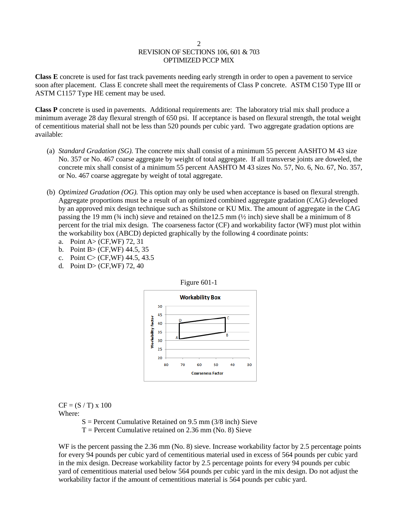## 2 REVISION OF SECTIONS 106, 601 & 703 OPTIMIZED PCCP MIX

**Class E** concrete is used for fast track pavements needing early strength in order to open a pavement to service soon after placement. Class E concrete shall meet the requirements of Class P concrete. ASTM C150 Type III or ASTM C1157 Type HE cement may be used.

**Class P** concrete is used in pavements. Additional requirements are: The laboratory trial mix shall produce a minimum average 28 day flexural strength of 650 psi. If acceptance is based on flexural strength, the total weight of cementitious material shall not be less than 520 pounds per cubic yard. Two aggregate gradation options are available:

- (a) *Standard Gradation (SG).* The concrete mix shall consist of a minimum 55 percent AASHTO M 43 size No. 357 or No. 467 coarse aggregate by weight of total aggregate. If all transverse joints are doweled, the concrete mix shall consist of a minimum 55 percent AASHTO M 43 sizes No. 57, No. 6, No. 67, No. 357, or No. 467 coarse aggregate by weight of total aggregate.
- (b) *Optimized Gradation (OG).* This option may only be used when acceptance is based on flexural strength. Aggregate proportions must be a result of an optimized combined aggregate gradation (CAG) developed by an approved mix design technique such as Shilstone or KU Mix. The amount of aggregate in the CAG passing the 19 mm ( $\frac{3}{4}$  inch) sieve and retained on the 12.5 mm ( $\frac{1}{2}$  inch) sieve shall be a minimum of 8 percent for the trial mix design. The coarseness factor (CF) and workability factor (WF) must plot within the workability box (ABCD) depicted graphically by the following 4 coordinate points:
	- a. Point A> (CF,WF) 72, 31
	- b. Point B> (CF,WF) 44.5, 35
	- c. Point C> (CF,WF) 44.5, 43.5
	- d. Point D> (CF,WF) 72, 40



Figure 601-1

 $CF = (S / T) \times 100$ Where:

 $S =$  Percent Cumulative Retained on 9.5 mm (3/8 inch) Sieve

 $T =$  Percent Cumulative retained on 2.36 mm (No. 8) Sieve

WF is the percent passing the 2.36 mm (No. 8) sieve. Increase workability factor by 2.5 percentage points for every 94 pounds per cubic yard of cementitious material used in excess of 564 pounds per cubic yard in the mix design. Decrease workability factor by 2.5 percentage points for every 94 pounds per cubic yard of cementitious material used below 564 pounds per cubic yard in the mix design. Do not adjust the workability factor if the amount of cementitious material is 564 pounds per cubic yard.